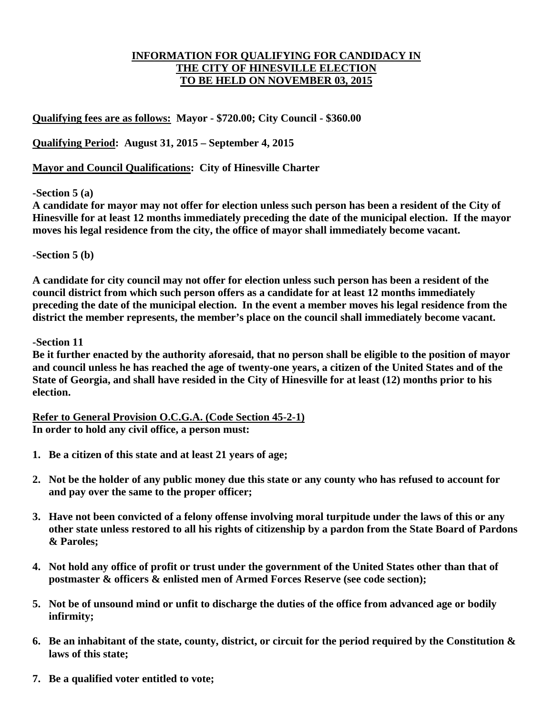# **INFORMATION FOR QUALIFYING FOR CANDIDACY IN THE CITY OF HINESVILLE ELECTION TO BE HELD ON NOVEMBER 03, 2015**

**Qualifying fees are as follows: Mayor - \$720.00; City Council - \$360.00** 

**Qualifying Period: August 31, 2015 – September 4, 2015** 

**Mayor and Council Qualifications: City of Hinesville Charter** 

# **-Section 5 (a)**

**A candidate for mayor may not offer for election unless such person has been a resident of the City of Hinesville for at least 12 months immediately preceding the date of the municipal election. If the mayor moves his legal residence from the city, the office of mayor shall immediately become vacant.** 

### **-Section 5 (b)**

**A candidate for city council may not offer for election unless such person has been a resident of the council district from which such person offers as a candidate for at least 12 months immediately preceding the date of the municipal election. In the event a member moves his legal residence from the district the member represents, the member's place on the council shall immediately become vacant.** 

### **-Section 11**

**Be it further enacted by the authority aforesaid, that no person shall be eligible to the position of mayor and council unless he has reached the age of twenty-one years, a citizen of the United States and of the State of Georgia, and shall have resided in the City of Hinesville for at least (12) months prior to his election.** 

**Refer to General Provision O.C.G.A. (Code Section 45-2-1) In order to hold any civil office, a person must:** 

- **1. Be a citizen of this state and at least 21 years of age;**
- **2. Not be the holder of any public money due this state or any county who has refused to account for and pay over the same to the proper officer;**
- **3. Have not been convicted of a felony offense involving moral turpitude under the laws of this or any other state unless restored to all his rights of citizenship by a pardon from the State Board of Pardons & Paroles;**
- **4. Not hold any office of profit or trust under the government of the United States other than that of postmaster & officers & enlisted men of Armed Forces Reserve (see code section);**
- **5. Not be of unsound mind or unfit to discharge the duties of the office from advanced age or bodily infirmity;**
- **6. Be an inhabitant of the state, county, district, or circuit for the period required by the Constitution & laws of this state;**
- **7. Be a qualified voter entitled to vote;**